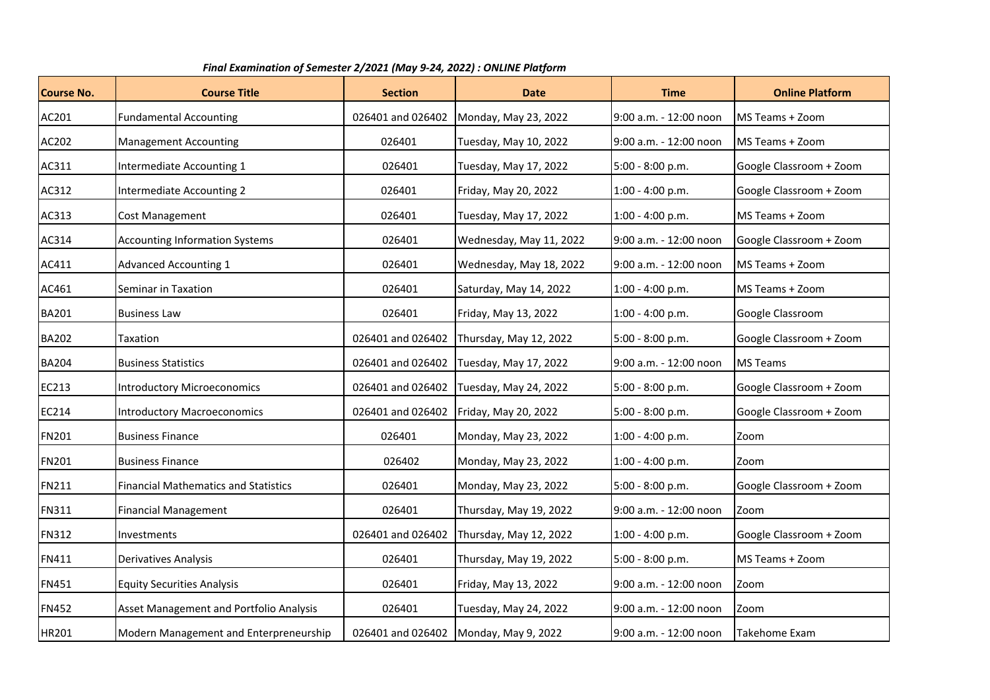| Final Examination of Semester 2/2021 (May 9-24, 2022) : ONLINE Platform |                                             |                   |                                       |                        |                         |  |  |  |  |
|-------------------------------------------------------------------------|---------------------------------------------|-------------------|---------------------------------------|------------------------|-------------------------|--|--|--|--|
| <b>Course No.</b>                                                       | <b>Course Title</b>                         | <b>Section</b>    | <b>Date</b>                           | <b>Time</b>            | <b>Online Platform</b>  |  |  |  |  |
| AC201                                                                   | <b>Fundamental Accounting</b>               | 026401 and 026402 | Monday, May 23, 2022                  | 9:00 a.m. - 12:00 noon | MS Teams + Zoom         |  |  |  |  |
| AC202                                                                   | <b>Management Accounting</b>                | 026401            | Tuesday, May 10, 2022                 | 9:00 a.m. - 12:00 noon | MS Teams + Zoom         |  |  |  |  |
| AC311                                                                   | Intermediate Accounting 1                   | 026401            | Tuesday, May 17, 2022                 | 5:00 - 8:00 p.m.       | Google Classroom + Zoom |  |  |  |  |
| AC312                                                                   | Intermediate Accounting 2                   | 026401            | Friday, May 20, 2022                  | $1:00 - 4:00 p.m.$     | Google Classroom + Zoom |  |  |  |  |
| AC313                                                                   | Cost Management                             | 026401            | Tuesday, May 17, 2022                 | $1:00 - 4:00 p.m.$     | MS Teams + Zoom         |  |  |  |  |
| AC314                                                                   | <b>Accounting Information Systems</b>       | 026401            | Wednesday, May 11, 2022               | 9:00 a.m. - 12:00 noon | Google Classroom + Zoom |  |  |  |  |
| AC411                                                                   | <b>Advanced Accounting 1</b>                | 026401            | Wednesday, May 18, 2022               | 9:00 a.m. - 12:00 noon | MS Teams + Zoom         |  |  |  |  |
| AC461                                                                   | Seminar in Taxation                         | 026401            | Saturday, May 14, 2022                | 1:00 - 4:00 p.m.       | MS Teams + Zoom         |  |  |  |  |
| <b>BA201</b>                                                            | <b>Business Law</b>                         | 026401            | Friday, May 13, 2022                  | $1:00 - 4:00 p.m.$     | Google Classroom        |  |  |  |  |
| <b>BA202</b>                                                            | Taxation                                    | 026401 and 026402 | Thursday, May 12, 2022                | 5:00 - 8:00 p.m.       | Google Classroom + Zoom |  |  |  |  |
| <b>BA204</b>                                                            | <b>Business Statistics</b>                  | 026401 and 026402 | Tuesday, May 17, 2022                 | 9:00 a.m. - 12:00 noon | <b>MS Teams</b>         |  |  |  |  |
| EC213                                                                   | <b>Introductory Microeconomics</b>          | 026401 and 026402 | Tuesday, May 24, 2022                 | 5:00 - 8:00 p.m.       | Google Classroom + Zoom |  |  |  |  |
| EC214                                                                   | <b>Introductory Macroeconomics</b>          | 026401 and 026402 | Friday, May 20, 2022                  | $5:00 - 8:00 p.m.$     | Google Classroom + Zoom |  |  |  |  |
| <b>FN201</b>                                                            | <b>Business Finance</b>                     | 026401            | Monday, May 23, 2022                  | $1:00 - 4:00 p.m.$     | Zoom                    |  |  |  |  |
| <b>FN201</b>                                                            | <b>Business Finance</b>                     | 026402            | Monday, May 23, 2022                  | 1:00 - 4:00 p.m.       | Zoom                    |  |  |  |  |
| <b>FN211</b>                                                            | <b>Financial Mathematics and Statistics</b> | 026401            | Monday, May 23, 2022                  | 5:00 - 8:00 p.m.       | Google Classroom + Zoom |  |  |  |  |
| <b>FN311</b>                                                            | <b>Financial Management</b>                 | 026401            | Thursday, May 19, 2022                | 9:00 a.m. - 12:00 noon | Zoom                    |  |  |  |  |
| <b>FN312</b>                                                            | Investments                                 | 026401 and 026402 | Thursday, May 12, 2022                | 1:00 - 4:00 p.m.       | Google Classroom + Zoom |  |  |  |  |
| FN411                                                                   | Derivatives Analysis                        | 026401            | Thursday, May 19, 2022                | $5:00 - 8:00 p.m.$     | MS Teams + Zoom         |  |  |  |  |
| <b>FN451</b>                                                            | <b>Equity Securities Analysis</b>           | 026401            | Friday, May 13, 2022                  | 9:00 a.m. - 12:00 noon | Zoom                    |  |  |  |  |
| <b>FN452</b>                                                            | Asset Management and Portfolio Analysis     | 026401            | Tuesday, May 24, 2022                 | 9:00 a.m. - 12:00 noon | Zoom                    |  |  |  |  |
| HR201                                                                   | Modern Management and Enterpreneurship      |                   | 026401 and 026402 Monday, May 9, 2022 | 9:00 a.m. - 12:00 noon | Takehome Exam           |  |  |  |  |